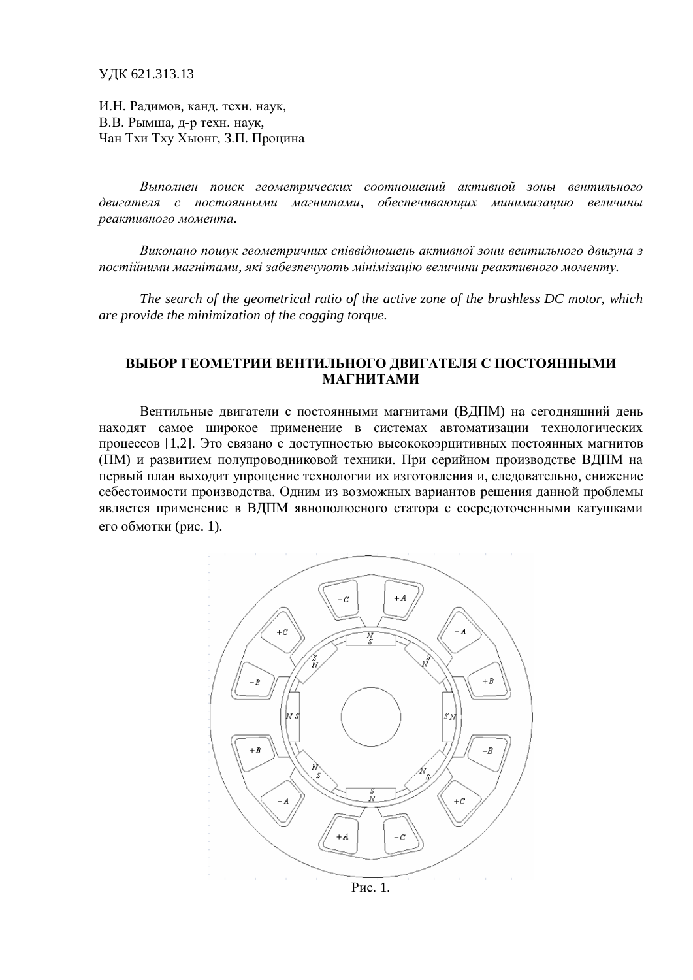ɍȾɄ 621.313.13

И.Н. Радимов, канд. техн. наук, В.В. Рымша, д-р техн. наук, Чан Тхи Тху Хыонг, З.П. Процина

Выполнен поиск геометрических соотношений активной зоны вентильного двигателя с постоянными магнитами, обеспечивающих минимизацию величины  $peakm$ ивного момента.

Виконано пошук геометричних співвідношень активної зони вентильного двигуна з постійними магнітами, які забезпечують мінімізацію величини реактивного моменту.

*The search of the geometrical ratio of the active zone of the brushless DC motor, which are provide the minimization of the cogging torque.*

## **ВЫБОР ГЕОМЕТРИИ ВЕНТИЛЬНОГО ДВИГАТЕЛЯ С ПОСТОЯННЫМИ** МАГНИТАМИ

Вентильные двигатели с постоянными магнитами (ВДПМ) на сегодняшний день находят самое широкое применение в системах автоматизации технологических процессов [1,2]. Это связано с доступностью высококоэрцитивных постоянных магнитов (ПМ) и развитием полупроводниковой техники. При серийном производстве ВДПМ на первый план выходит упрощение технологии их изготовления и, следовательно, снижение себестоимости производства. Одним из возможных вариантов решения данной проблемы является применение в ВДПМ явнополюсного статора с сосредоточенными катушками его обмотки (рис. 1).



 $P$ ис. 1.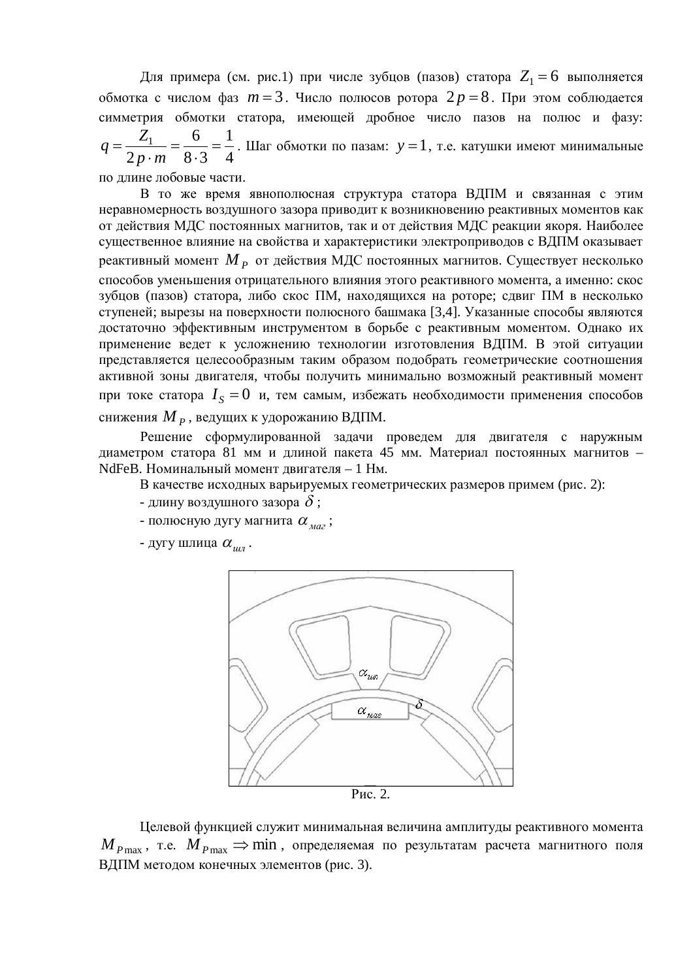Для примера (см. рис.1) при числе зубцов (пазов) статора  $Z_1 = 6$  выполняется  $\alpha$ бмотка с числом фаз  $m = 3$ . Число полюсов ротора  $2p = 8$ . При этом соблюдается симметрия обмотки статора, имеющей дробное число пазов на полюс и фазу: 4 1  $8.3$ 6 2  $\frac{1}{1}$  =  $\frac{0}{0}$  = .  $=$ .  $=$ *p m Z*  $q = \frac{Z_1}{2} = \frac{0}{0.2} = \frac{1}{4}$ . Шаг обмотки по пазам:  $y = 1$ , т.е. катушки имеют минимальные

по ллине лобовые части.

В то же время явнополюсная структура статора ВДПМ и связанная с этим неравномерность воздушного зазора приводит к возникновению реактивных моментов как от действия МДС постоянных магнитов, так и от действия МДС реакции якоря. Наиболее существенное влияние на свойства и характеристики электроприводов с ВДПМ оказывает реактивный момент  $M$ <sub> $P$ </sub> от действия МДС постоянных магнитов. Существует несколько способов уменьшения отрицательного влияния этого реактивного момента, а именно: скос зубцов (пазов) статора, либо скос ПМ, находящихся на роторе; сдвиг ПМ в несколько ступеней; вырезы на поверхности полюсного башмака [3,4]. Указанные способы являются достаточно эффективным инструментом в борьбе с реактивным моментом. Однако их применение ведет к усложнению технологии изготовления ВДПМ. В этой ситуации представляется целесообразным таким образом подобрать геометрические соотношения активной зоны двигателя, чтобы получить минимально возможный реактивный момент при токе статора  $I_{S} = 0$  и, тем самым, избежать необходимости применения способов снижения *М <sub>Р</sub>* , ведущих к удорожанию ВДПМ.

Решение сформулированной задачи проведем для двигателя с наружным диаметром статора 81 мм и длиной пакета 45 мм. Материал постоянных магнитов – NdFeB. Номинальный момент двигателя - 1 Нм.

В качестве исходных варьируемых геометрических размеров примем (рис. 2):

- длину воздушного зазора  $\delta$ ;
- полюсную дугу магнита  $\alpha_{\text{max}}$ ;
- дугу шлица  $\alpha_{\mu}$ .



Целевой функцией служит минимальная величина амплитуды реактивного момента  $M_{P_{\text{max}}}$ , т.е.  $M_{P_{\text{max}}} \Rightarrow \min$ , определяемая по результатам расчета магнитного поля ВДПМ методом конечных элементов (рис. 3).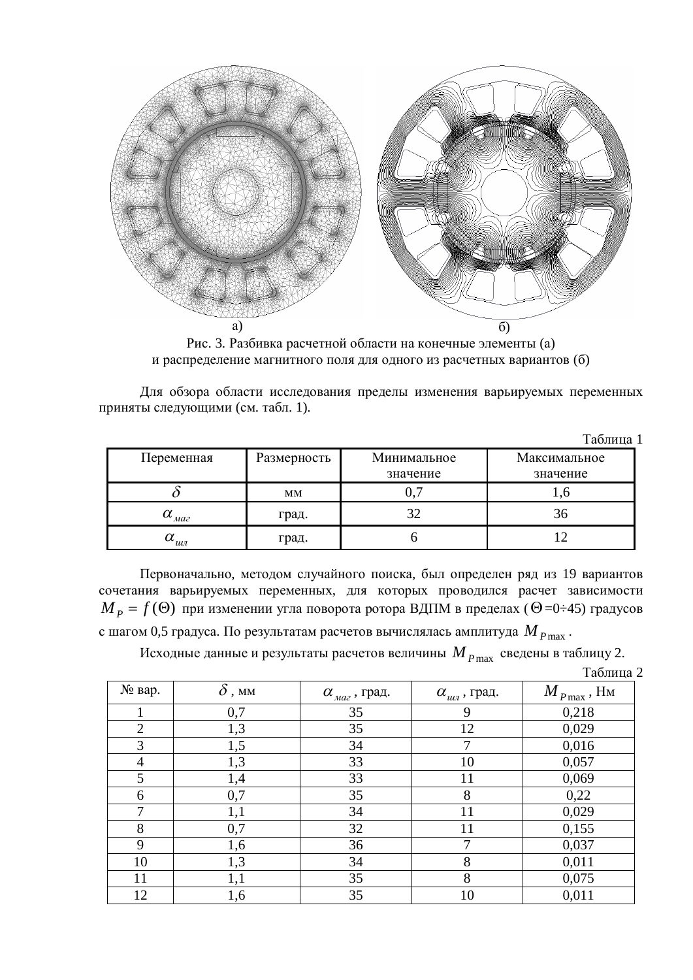

Рис. 3. Разбивка расчетной области на конечные элементы (а) и распределение магнитного поля для одного из расчетных вариантов (б)

Для обзора области исследования пределы изменения варьируемых переменных приняты следующими (см. табл. 1).

|                                     |             |             | Таблица 1    |
|-------------------------------------|-------------|-------------|--------------|
| Переменная                          | Размерность | Минимальное | Максимальное |
|                                     |             | значение    | значение     |
|                                     | MM          | 0,7         |              |
| $\alpha$ <sub>Ma2</sub>             | град.       | 32          | 36           |
| $\alpha_{_{\mathit{uu}\textit{n}}}$ | град.       |             |              |

Первоначально, методом случайного поиска, был определен ряд из 19 вариантов сочетания варьируемых переменных, для которых проводился расчет зависимости  $\boldsymbol{M}_{P} = f(\boldsymbol{\Theta})$  при изменении угла поворота ротора ВДПМ в пределах ( $\boldsymbol{\Theta}$ =0÷45) градусов с шагом 0,5 градуса. По результатам расчетов вычислялась амплитуда  $M_{P\text{max}}$ .

Исходные данные и результаты расчетов величины  $M_{P\text{max}}$  сведены в таблицу 2.

| Таблица 2 |  |
|-----------|--|
|-----------|--|

|                |               |                               |                            | 1 av.inda                                              |
|----------------|---------------|-------------------------------|----------------------------|--------------------------------------------------------|
| № вар.         | $\delta$ , mm | $\alpha_{\text{max}}$ , град. | $\alpha_{u\alpha}$ , град. | $\boldsymbol{M}_{P\max}$ , $\boldsymbol{\mathrm{H}}$ м |
|                | 0,7           | 35                            | 9                          | 0,218                                                  |
| $\overline{2}$ | 1,3           | 35                            | 12                         | 0,029                                                  |
| 3              | 1,5           | 34                            | 7                          | 0,016                                                  |
| $\overline{4}$ | 1,3           | 33                            | 10                         | 0,057                                                  |
| 5              | 1,4           | 33                            | 11                         | 0,069                                                  |
| 6              | 0,7           | 35                            | 8                          | 0,22                                                   |
| 7              | 1,1           | 34                            | 11                         | 0,029                                                  |
| 8              | 0,7           | 32                            | 11                         | 0,155                                                  |
| 9              | 1,6           | 36                            | 7                          | 0,037                                                  |
| 10             | 1,3           | 34                            | 8                          | 0,011                                                  |
| 11             | 1,1           | 35                            | 8                          | 0,075                                                  |
| 12             | 1,6           | 35                            | 10                         | 0,011                                                  |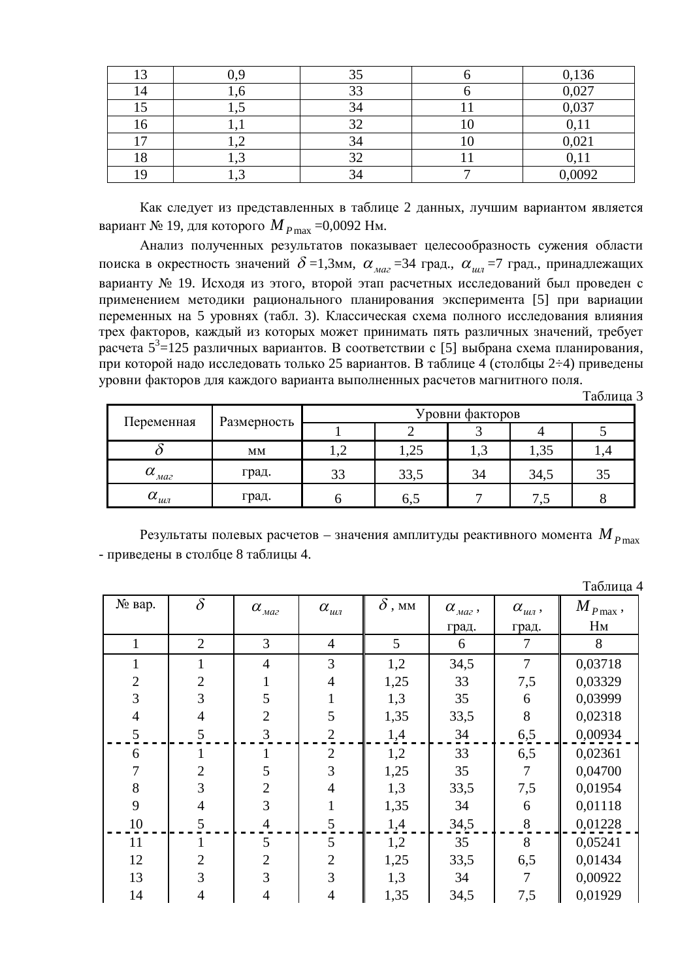| 13  |                          |           | 0,136   |
|-----|--------------------------|-----------|---------|
| 14  |                          | 33        | 0,027   |
| ⊥ أ |                          |           | 0,037   |
|     | .                        | 20<br>ے ب | $\pm 1$ |
| −   | $\overline{\phantom{0}}$ | 34        | 0,021   |
| ιo  |                          |           |         |
|     | ⊥ •∼                     |           | 0,0092  |

Как следует из представленных в таблице 2 данных, лучшим вариантом является вариант № 19, для которого *М<sub>Р*max</sub> =0,0092 Нм.

Анализ полученных результатов показывает целесообразность сужения области поиска в окрестность значений  $\delta$  =1,3мм,  $\alpha_{\text{max}}$  =34 град.,  $\alpha_{\text{min}}$  =7 град., принадлежащих варианту № 19. Исходя из этого, второй этап расчетных исследований был проведен с применением методики рационального планирования эксперимента [5] при вариации переменных на 5 уровнях (табл. 3). Классическая схема полного исследования влияния трех факторов, каждый из которых может принимать пять различных значений, требует расчета 5<sup>3</sup>=125 различных вариантов. В соответствии с [5] выбрана схема планирования, при которой надо исследовать только 25 вариантов. В таблице 4 (столбцы 2÷4) приведены уровни факторов для каждого варианта выполненных расчетов магнитного поля.

Таблина 3

| Переменная                             | Размерность | Уровни факторов |      |        |      |    |  |
|----------------------------------------|-------------|-----------------|------|--------|------|----|--|
|                                        |             |                 |      |        |      |    |  |
|                                        | MM          | ∸               | 1,25 | ن و له | 1,35 |    |  |
| $\alpha_{\scriptscriptstyle M d 2}^{}$ | град.       | 33              | 33,5 | 34     | 34,5 | 35 |  |
| $\alpha_{_{uu\bar{\tau}}}$             | град.       |                 | 6,5  |        |      |    |  |

Результаты полевых расчетов – значения амплитуды реактивного момента  $M_{P\text{max}}$ - приведены в столбце 8 таблицы 4.

|                |                |                   |                                  |               |                     |                   | Таблица 4            |
|----------------|----------------|-------------------|----------------------------------|---------------|---------------------|-------------------|----------------------|
| № вар.         | $\delta$       | $\alpha_{_{max}}$ | $\alpha_{_{uu\textit{\tiny I}}}$ | $\delta$ , mm | $\alpha_{_{max}}$ , | $\alpha_{_{uu}},$ | $M_{\rm \,P\,max}$ , |
|                |                |                   |                                  |               | град.               | град.             | Hм                   |
| $\mathbf{1}$   | $\overline{2}$ | 3                 | $\overline{4}$                   | 5             | 6                   | 7                 | 8                    |
| $\mathbf{1}$   | 1              | $\overline{4}$    | 3                                | 1,2           | 34,5                | $\overline{7}$    | 0,03718              |
| $\sqrt{2}$     | $\mathfrak{2}$ |                   | $\overline{4}$                   | 1,25          | 33                  | 7,5               | 0,03329              |
| 3              | 3              | 5                 |                                  | 1,3           | 35                  | 6                 | 0,03999              |
| $\overline{4}$ | $\overline{4}$ | $\overline{2}$    | 5                                | 1,35          | 33,5                | 8                 | 0,02318              |
| 5              | 5              | 3                 | $\overline{2}$                   | 1,4           | 34                  | 6,5               | 0,00934              |
| 6              |                |                   | $\overline{2}$                   | 1,2           | 33                  | 6,5               | 0,02361              |
| $\overline{7}$ | $\overline{2}$ | 5                 | 3                                | 1,25          | 35                  | 7                 | 0,04700              |
| 8              | 3              | $\overline{2}$    | 4                                | 1,3           | 33,5                | 7,5               | 0,01954              |
| 9              | $\overline{4}$ | 3                 |                                  | 1,35          | 34                  | 6                 | 0,01118              |
| 10             | 5              | $\overline{4}$    | 5                                | 1,4           | 34,5                | 8                 | 0,01228              |
| 11             |                | 5                 | 5                                | 1,2           | 35                  | 8                 | 0,05241              |
| 12             | $\overline{2}$ | $\overline{2}$    | $\overline{2}$                   | 1,25          | 33,5                | 6,5               | 0,01434              |
| 13             | 3              | 3                 | 3                                | 1,3           | 34                  | 7                 | 0,00922              |
| 14             | 4              | 4                 | 4                                | 1,35          | 34,5                | 7,5               | 0,01929              |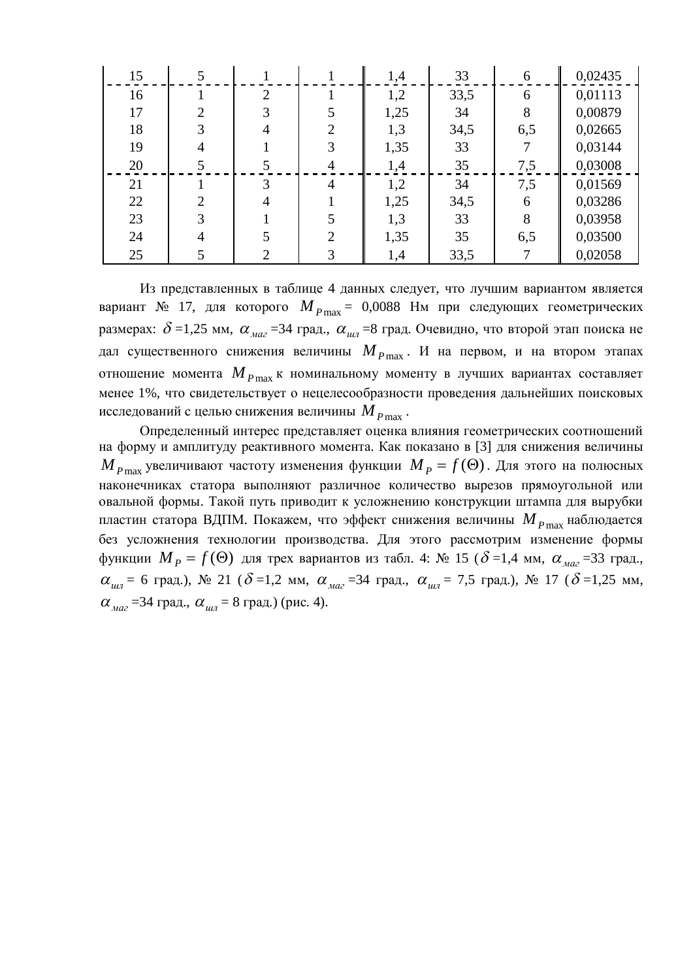| 15 |   |                |                | 1,4  | 33   | 6   | 0,02435 |
|----|---|----------------|----------------|------|------|-----|---------|
| 16 |   | $\overline{2}$ |                | 1,2  | 33,5 | 6   | 0,01113 |
| 17 | ↑ |                |                | 1,25 | 34   | 8   | 0,00879 |
| 18 | 3 |                | $\overline{2}$ | 1,3  | 34,5 | 6,5 | 0,02665 |
| 19 |   |                | 3              | 1,35 | 33   |     | 0,03144 |
| 20 |   |                | 4              | 1,4  | 35   | 7,5 | 0,03008 |
| 21 |   | 3              | $\overline{4}$ | 1,2  | 34   | 7,5 | 0,01569 |
| 22 | 2 |                |                | 1,25 | 34,5 | 6   | 0,03286 |
| 23 | 3 |                | 5              | 1,3  | 33   | 8   | 0,03958 |
| 24 | 4 |                | $\bigcap$      | 1,35 | 35   | 6,5 | 0,03500 |
| 25 |   |                | 3              | 1,4  | 33,5 |     | 0,02058 |

Из представленных в таблице 4 данных следует, что лучшим вариантом является вариант № 17, для которого  $M_{Pmax} = 0.0088$  Нм при следующих геометрических размерах:  $\delta$  =1,25 мм,  $\alpha_{\text{max}}$  =34 град.,  $\alpha_{\text{max}}$  =8 град. Очевидно, что второй этап поиска не дал существенного снижения величины  $M_{P_{\text{max}}}$ . И на первом, и на втором этапах отношение момента  $M_{P\max}$ к номинальному моменту в лучших вариантах составляет менее 1%, что свидетельствует о нецелесообразности проведения дальнейших поисковых исследований с целью снижения величины  $M_{P_{\text{max}}}$ .

Определенный интерес представляет оценка влияния геометрических соотношений на форму и амплитуду реактивного момента. Как показано в [3] для снижения величины  ${M}_{P\max}$  увеличивают частоту изменения функции  ${M}_{P}=f(\Theta)$ . Для этого на полюсных наконечниках статора выполняют различное количество вырезов прямоугольной или овальной формы. Такой путь приводит к усложнению конструкции штампа для вырубки пластин статора ВДПМ. Покажем, что эффект снижения величины  $M_{P\text{max}}$ наблюдается без усложнения технологии производства. Для этого рассмотрим изменение формы функции  $M_{p}$  =  $f$ ( $\Theta$ ) для трех вариантов из табл. 4: № 15 ( $\delta$  =1,4 мм,  $\alpha_{_{\mathit{Maz}}}$ =33 град.,  $\alpha_{\mu\mu}$  = 6 град.), № 21 ( $\delta$  =1,2 мм,  $\alpha_{\mu\alpha}$  =34 град.,  $\alpha_{\mu\mu}$  = 7,5 град.), № 17 ( $\delta$  =1,25 мм,  $\alpha_{\text{max}}$  =34 град.,  $\alpha_{\text{max}}$  = 8 град.) (рис. 4).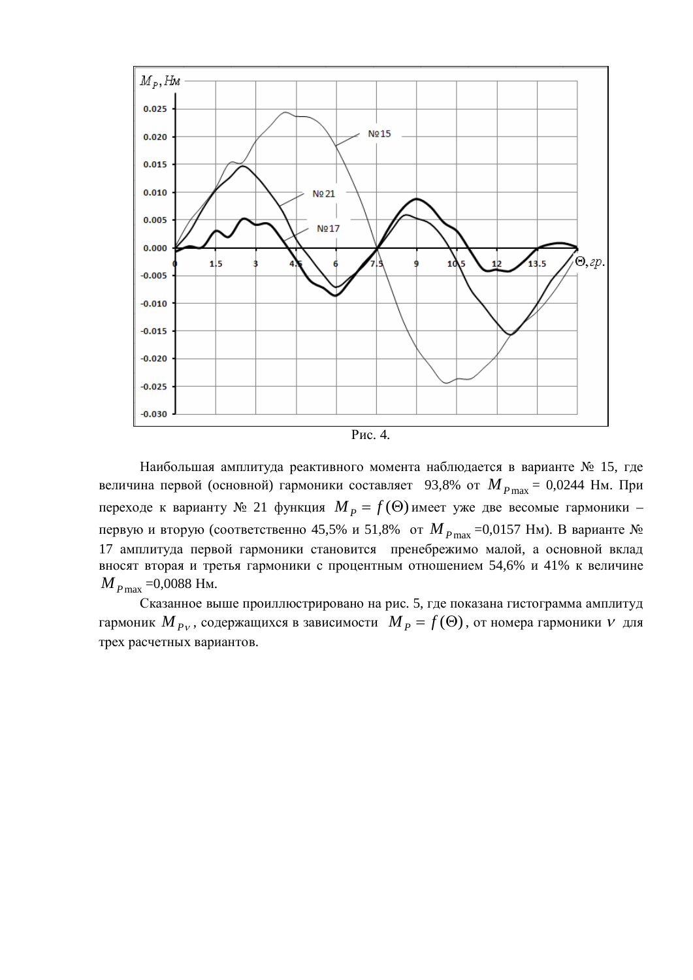

Рис. 4.

Наибольшая амплитуда реактивного момента наблюдается в варианте № 15, где величина первой (основной) гармоники составляет 93,8% от  $M_{P\text{max}} = 0.0244 \text{ Hm}$ . При переходе к варианту № 21 функция  $M_P = f(\Theta)$ имеет уже две весомые гармоники – первую и вторую (соответственно 45,5% и 51,8% от *М*<sub>*P*max</sub> =0,0157 Нм). В варианте № 17 амплитуда первой гармоники становится пренебрежимо малой, а основной вклад вносят вторая и третья гармоники с процентным отношением 54,6% и 41% к величине  $M_{P_{\text{max}}}$  =0,0088 Hm.

Сказанное выше проиллюстрировано на рис. 5, где показана гистограмма амплитуд гармоник  $M_{\overline{P}^V}$ , содержащихся в зависимости  $\|M_{\overline{P}} = f(\Theta)$ , от номера гармоники  $V$  для трех расчетных вариантов.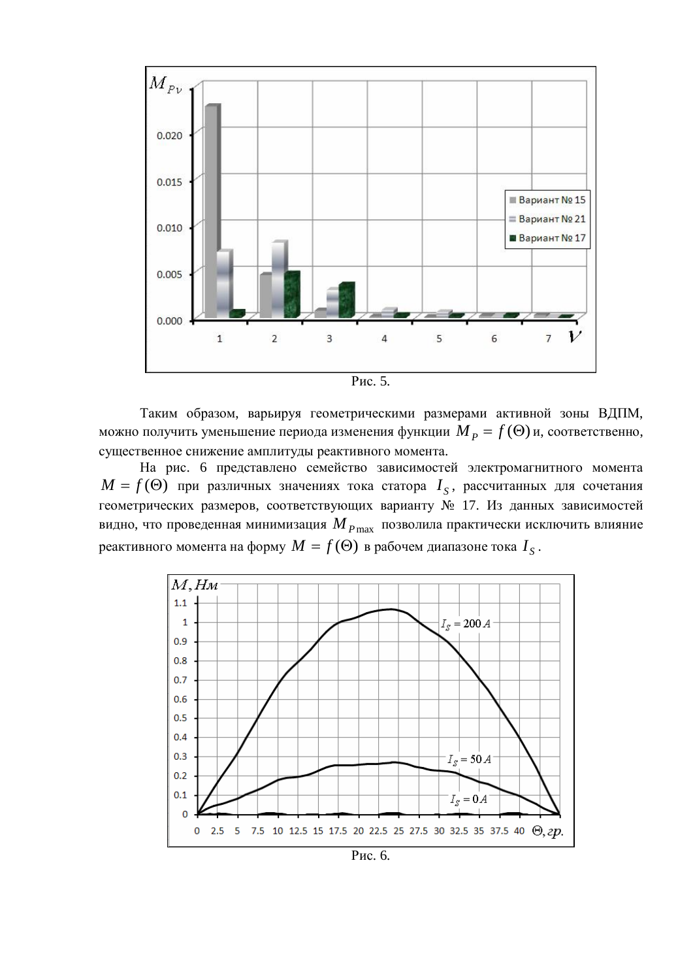

Таким образом, варьируя геометрическими размерами активной зоны ВДПМ, можно получить уменьшение периода изменения функции  $\overline{M}_{\overline{P}} = f(\Theta)$ и, соответственно, существенное снижение амплитуды реактивного момента.

На рис. 6 представлено семейство зависимостей электромагнитного момента  $M = f(\Theta)$  при различных значениях тока статора  $I_{\overline{S}}$ , рассчитанных для сочетания геометрических размеров, соответствующих варианту № 17. Из данных зависимостей видно, что проведенная минимизация  $M_{P\max}$  позволила практически исключить влияние реактивного момента на форму  $M=f(\Theta)$  в рабочем диапазоне тока  $I_{\overline{S}}$  .



Рис. 6.